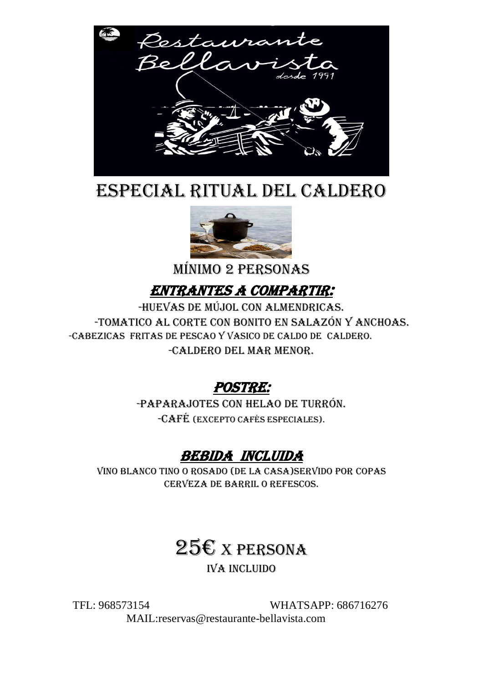

# ESPECIAL RITUAL DEL CALDERO



MÍNIMO 2 PERSONAS

### Entrantes A COMPARTIR:

-HUEVAS DE MÚJOL CON ALMENDRICAS. -TOMATICO AL CORTE CON BONITO EN SALAZÓN Y ANCHOAS. -CABEZICAS FRITAS DE PESCAO Y VASICO DE CALDO DE CALDERO. -CALDERO DEL MAR MENOR.

POSTRE:

-PAPARAJOTES CON HELAO DE TURRÓN. -CAFÉ (excepto cafés especiales).

#### BEBIDA INCLUIDA

VINO BLANCO TINO O ROSADO (DE LA CASA)SERVIDO POR Copas CERVEZA DE BARRIL O REFESCOS.

# $25E$  x persona

IVA incluido

TFL: 968573154 WHATSAPP: 686716276 MAIL:reservas@restaurante-bellavista.com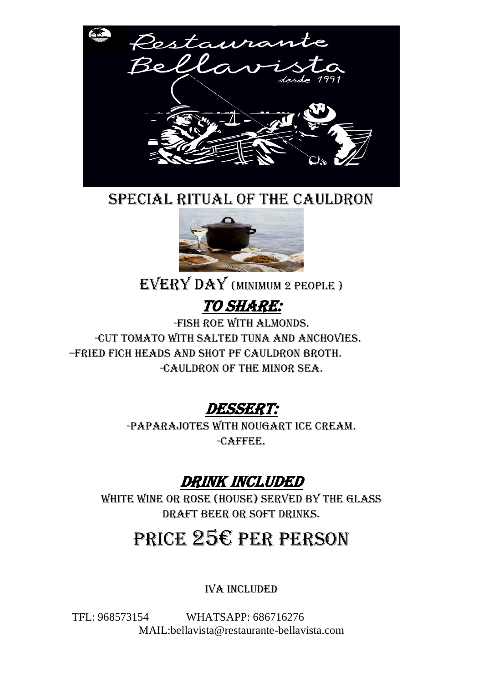

SPECIAL RITUAL OF THE CAULDRON

![](_page_1_Picture_2.jpeg)

EVERY DAY (MINIMUM 2 PEOPLE )

# TO SHARE:

-FISH ROE WITH ALMONDS. -CUT TOMATO WITH SALTED TUNA AND ANCHOVIES. –FRIED FICH HEADS AND SHOT PF CAULDRON BROTH. -CAULDRON OF THE MINOR SEA.

# DESSERT:

-PAPARAJOTES WITH NOUGART ICE CREAM. -CAFFEE.

# DRINK INCLUDED

WHITE WINE OR ROSE (HOUSE) SERVED BY THE GLASS DRAFT BEER OR SOFT DRINKS.

# PRICE 25€ PER PERSON

IVA INCLUDED

TFL: 968573154 WHATSAPP: 686716276 MAIL:bellavista@restaurante-bellavista.com